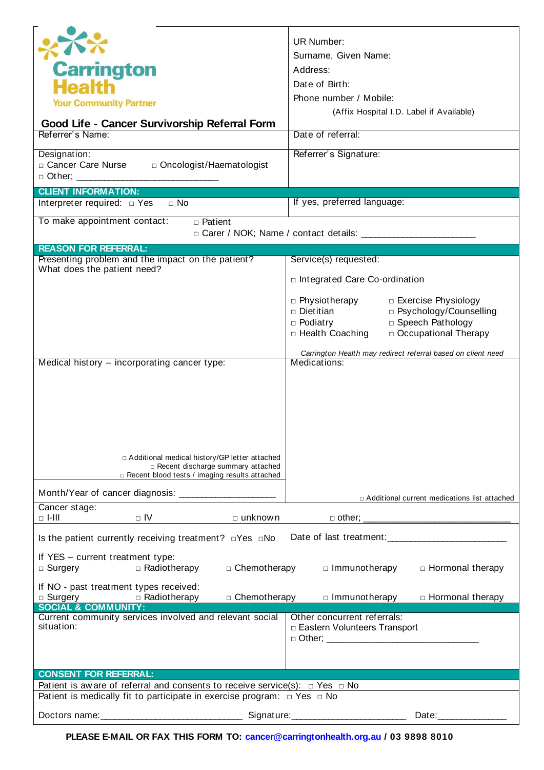| 不<br><b>Carrington</b><br><b>Health</b><br><b>Your Community Partner</b><br>Good Life - Cancer Survivorship Referral Form<br>Referrer's Name:<br>Designation:<br>□ Cancer Care Nurse<br>□ Oncologist/Haematologist<br>$\Box$ Other; $\_\_\_\_\_\_\_\_\_\_\_\_\_\_\_\_\_\_\_$<br><b>CLIENT INFORMATION:</b> | UR Number:<br>Surname, Given Name:<br>Address:<br>Date of Birth:<br>Phone number / Mobile:<br>(Affix Hospital I.D. Label if Available)<br>Date of referral:<br>Referrer's Signature:                                                        |
|------------------------------------------------------------------------------------------------------------------------------------------------------------------------------------------------------------------------------------------------------------------------------------------------------------|---------------------------------------------------------------------------------------------------------------------------------------------------------------------------------------------------------------------------------------------|
| Interpreter required: $\Box$ Yes $\Box$ No                                                                                                                                                                                                                                                                 | If yes, preferred language:                                                                                                                                                                                                                 |
| To make appointment contact:<br>$\sqrt{a}$ Patient                                                                                                                                                                                                                                                         |                                                                                                                                                                                                                                             |
| <b>REASON FOR REFERRAL:</b>                                                                                                                                                                                                                                                                                |                                                                                                                                                                                                                                             |
| Presenting problem and the impact on the patient?<br>What does the patient need?                                                                                                                                                                                                                           | Service(s) requested:                                                                                                                                                                                                                       |
|                                                                                                                                                                                                                                                                                                            | □ Integrated Care Co-ordination                                                                                                                                                                                                             |
|                                                                                                                                                                                                                                                                                                            | □ Physiotherapy<br>□ Exercise Physiology<br>□ Psychology/Counselling<br>□ Dietitian<br>□ Speech Pathology<br>$\Box$ Podiatry<br>□ Health Coaching<br>□ Occupational Therapy<br>Carrington Health may redirect referral based on client need |
| Medical history - incorporating cancer type:                                                                                                                                                                                                                                                               | Medications:                                                                                                                                                                                                                                |
| □ Additional medical history/GP letter attached<br>□ Recent discharge summary attached<br>$\Box$ Recent blood tests / imaging results attached                                                                                                                                                             |                                                                                                                                                                                                                                             |
|                                                                                                                                                                                                                                                                                                            | $\Box$ Additional current medications list attached                                                                                                                                                                                         |
| Cancer stage:<br>$\Box$ -III<br>$\Box$ IV<br>$\square$ unknown                                                                                                                                                                                                                                             | $\Box$ other; $\Box$                                                                                                                                                                                                                        |
| Is the patient currently receiving treatment? $\Box$ Yes $\Box$ No                                                                                                                                                                                                                                         | Date of last treatment: Date of last treatment:                                                                                                                                                                                             |
| If YES - current treatment type:<br>$\Box$ Radiotherapy<br>$\Box$ Surgery<br>□ Chemotherapy                                                                                                                                                                                                                | □ Immunotherapy<br>□ Hormonal therapy                                                                                                                                                                                                       |
| If NO - past treatment types received:<br>$\Box$ Radiotherapy<br>$\Box$ Surgery<br>□ Chemotherapy                                                                                                                                                                                                          | □ Immunotherapy<br>□ Hormonal therapy                                                                                                                                                                                                       |
| <b>SOCIAL &amp; COMMUNITY:</b><br>Current community services involved and relevant social<br>situation:                                                                                                                                                                                                    | Other concurrent referrals:<br>□ Eastern Volunteers Transport<br>□ Other; ___________________________________                                                                                                                               |
|                                                                                                                                                                                                                                                                                                            |                                                                                                                                                                                                                                             |
| <b>CONSENT FOR REFERRAL:</b><br>Patient is aware of referral and consents to receive service(s): $\Box$ Yes $\Box$ No                                                                                                                                                                                      |                                                                                                                                                                                                                                             |
| Patient is medically fit to participate in exercise program: $\Box$ Yes $\Box$ No                                                                                                                                                                                                                          |                                                                                                                                                                                                                                             |
| Doctors name:<br>Signature:                                                                                                                                                                                                                                                                                | Date:                                                                                                                                                                                                                                       |

**PLEASE E-MAIL OR FAX THIS FORM TO: cancer@carringtonhealth.org.au / 03 9898 8010**